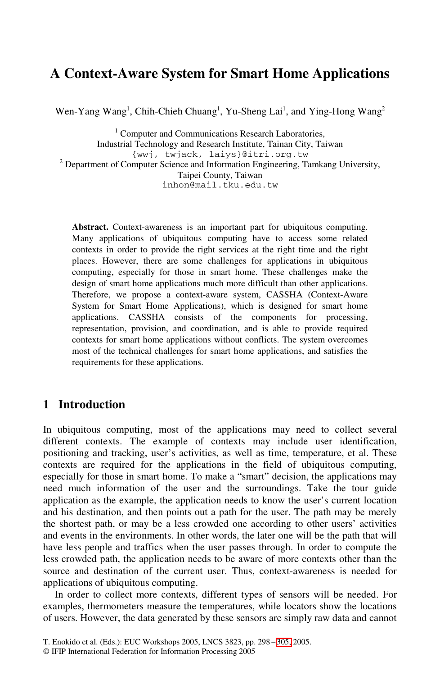# **A Context-Aware System for Smart Home Applications**

Wen-Yang Wang<sup>1</sup>, Chih-Chieh Chuang<sup>1</sup>, Yu-Sheng Lai<sup>1</sup>, and Ying-Hong Wang<sup>2</sup>

<sup>1</sup> Computer and Communications Research Laboratories, Industrial Technology and Research Institute, Tainan City, Taiwan {wwj, twjack, laiys}@itri.org.tw  $2$  Department of Computer Science and Information Engineering, Tamkang University, Taipei County, Taiwan inhon@mail.tku.edu.tw

**Abstract.** Context-awareness is an important part for ubiquitous computing. Many applications of ubiquitous computing have to access some related contexts in order to provide the right services at the right time and the right places. However, there are some challenges for applications in ubiquitous computing, especially for those in smart home. These challenges make the design of smart home applications much more difficult than other applications. Therefore, we propose a context-aware system, CASSHA (Context-Aware System for Smart Home Applications), which is designed for smart home applications. CASSHA consists of the components for processing, representation, provision, and coordination, and is able to provide required contexts for smart home applications without conflicts. The system overcomes most of the technical challenges for smart home applications, and satisfies the requirements for these applications.

### **1 Introduction**

In ubiquitous computing, most of the applications may need to collect several different contexts. The example of contexts may include user identification, positioning and tracking, user's activities, as well as time, temperature, et al. These contexts are required for the applications in the field of ubiquitous computing, especially for those in smart home. To make a "smart" decision, the applications may need much information of the user and the surroundings. Take the tour guide application as the example, the application needs to know the user's current location and his destination, and then points out a path for the user. The path may be merely the shortest path, or may be a less crowded one according to other users' activities and events in the environments. In other words, the later one will be the path that will have less people and traffics when the user passes through. In order to compute the less crowded path, the application [need](#page-7-0)s to be aware of more contexts other than the source and destination of the current user. Thus, context-awareness is needed for applications of ubiquitous computing.

In order to collect more contexts, different types of sensors will be needed. For examples, thermometers measure the temperatures, while locators show the locations of users. However, the data generated by these sensors are simply raw data and cannot

T. Enokido et al. (Eds.): EUC Workshops 2005, LNCS 3823, pp. 298 – 305, 2005.

<sup>©</sup> IFIP International Federation for Information Processing 2005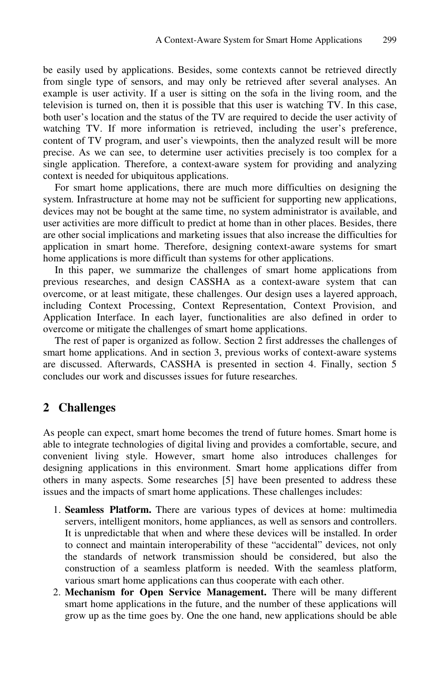be easily used by applications. Besides, some contexts cannot be retrieved directly from single type of sensors, and may only be retrieved after several analyses. An example is user activity. If a user is sitting on the sofa in the living room, and the television is turned on, then it is possible that this user is watching TV. In this case, both user's location and the status of the TV are required to decide the user activity of watching TV. If more information is retrieved, including the user's preference, content of TV program, and user's viewpoints, then the analyzed result will be more precise. As we can see, to determine user activities precisely is too complex for a single application. Therefore, a context-aware system for providing and analyzing context is needed for ubiquitous applications.

For smart home applications, there are much more difficulties on designing the system. Infrastructure at home may not be sufficient for supporting new applications, devices may not be bought at the same time, no system administrator is available, and user activities are more difficult to predict at home than in other places. Besides, there are other social implications and marketing issues that also increase the difficulties for application in smart home. Therefore, designing context-aware systems for smart home applications is more difficult than systems for other applications.

In this paper, we summarize the challenges of smart home applications from previous researches, and design CASSHA as a context-aware system that can overcome, or at least mitigate, these challenges. Our design uses a layered approach, including Context Processing, Context Representation, Context Provision, and Application Interface. In each layer, functionalities are also defined in order to overcome or mitigate the challenges of smart home applications.

The rest of paper is organized as follow. Section 2 first addresses the challenges of smart home applications. And in section 3, previous works of context-aware systems are discussed. Afterwards, CASSHA is presented in section 4. Finally, section 5 concludes our work and discusses issues for future researches.

### **2 Challenges**

As people can expect, smart home becomes the trend of future homes. Smart home is able to integrate technologies of digital living and provides a comfortable, secure, and convenient living style. However, smart home also introduces challenges for designing applications in this environment. Smart home applications differ from others in many aspects. Some researches [5] have been presented to address these issues and the impacts of smart home applications. These challenges includes:

- 1. **Seamless Platform.** There are various types of devices at home: multimedia servers, intelligent monitors, home appliances, as well as sensors and controllers. It is unpredictable that when and where these devices will be installed. In order to connect and maintain interoperability of these "accidental" devices, not only the standards of network transmission should be considered, but also the construction of a seamless platform is needed. With the seamless platform, various smart home applications can thus cooperate with each other.
- 2. **Mechanism for Open Service Management.** There will be many different smart home applications in the future, and the number of these applications will grow up as the time goes by. One the one hand, new applications should be able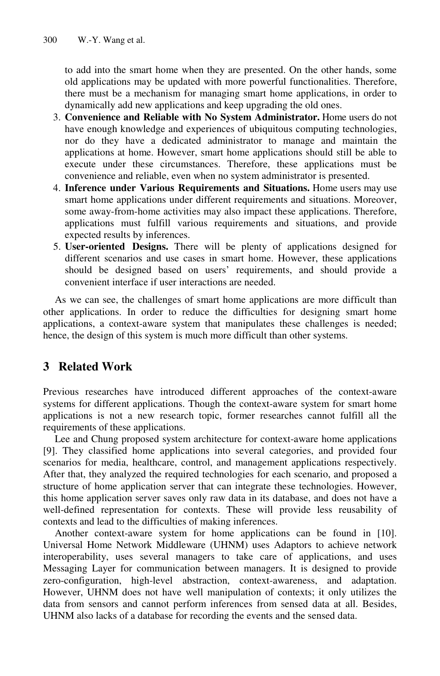to add into the smart home when they are presented. On the other hands, some old applications may be updated with more powerful functionalities. Therefore, there must be a mechanism for managing smart home applications, in order to dynamically add new applications and keep upgrading the old ones.

- 3. **Convenience and Reliable with No System Administrator.** Home users do not have enough knowledge and experiences of ubiquitous computing technologies, nor do they have a dedicated administrator to manage and maintain the applications at home. However, smart home applications should still be able to execute under these circumstances. Therefore, these applications must be convenience and reliable, even when no system administrator is presented.
- 4. **Inference under Various Requirements and Situations.** Home users may use smart home applications under different requirements and situations. Moreover, some away-from-home activities may also impact these applications. Therefore, applications must fulfill various requirements and situations, and provide expected results by inferences.
- 5. **User-oriented Designs.** There will be plenty of applications designed for different scenarios and use cases in smart home. However, these applications should be designed based on users' requirements, and should provide a convenient interface if user interactions are needed.

As we can see, the challenges of smart home applications are more difficult than other applications. In order to reduce the difficulties for designing smart home applications, a context-aware system that manipulates these challenges is needed; hence, the design of this system is much more difficult than other systems.

## **3 Related Work**

Previous researches have introduced different approaches of the context-aware systems for different applications. Though the context-aware system for smart home applications is not a new research topic, former researches cannot fulfill all the requirements of these applications.

Lee and Chung proposed system architecture for context-aware home applications [9]. They classified home applications into several categories, and provided four scenarios for media, healthcare, control, and management applications respectively. After that, they analyzed the required technologies for each scenario, and proposed a structure of home application server that can integrate these technologies. However, this home application server saves only raw data in its database, and does not have a well-defined representation for contexts. These will provide less reusability of contexts and lead to the difficulties of making inferences.

Another context-aware system for home applications can be found in [10]. Universal Home Network Middleware (UHNM) uses Adaptors to achieve network interoperability, uses several managers to take care of applications, and uses Messaging Layer for communication between managers. It is designed to provide zero-configuration, high-level abstraction, context-awareness, and adaptation. However, UHNM does not have well manipulation of contexts; it only utilizes the data from sensors and cannot perform inferences from sensed data at all. Besides, UHNM also lacks of a database for recording the events and the sensed data.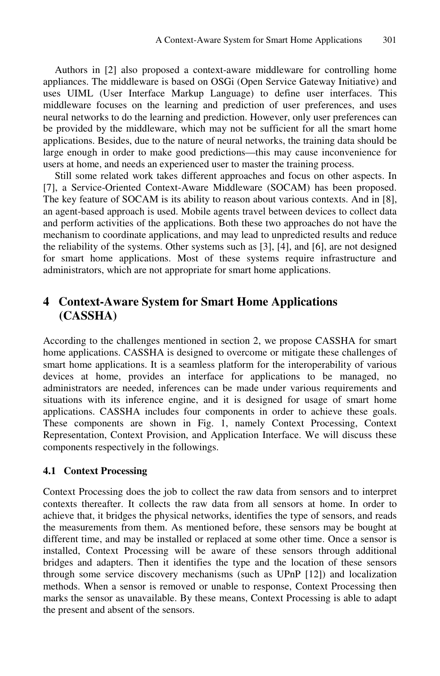Authors in [2] also proposed a context-aware middleware for controlling home appliances. The middleware is based on OSGi (Open Service Gateway Initiative) and uses UIML (User Interface Markup Language) to define user interfaces. This middleware focuses on the learning and prediction of user preferences, and uses neural networks to do the learning and prediction. However, only user preferences can be provided by the middleware, which may not be sufficient for all the smart home applications. Besides, due to the nature of neural networks, the training data should be large enough in order to make good predictions—this may cause inconvenience for users at home, and needs an experienced user to master the training process.

Still some related work takes different approaches and focus on other aspects. In [7], a Service-Oriented Context-Aware Middleware (SOCAM) has been proposed. The key feature of SOCAM is its ability to reason about various contexts. And in [8], an agent-based approach is used. Mobile agents travel between devices to collect data and perform activities of the applications. Both these two approaches do not have the mechanism to coordinate applications, and may lead to unpredicted results and reduce the reliability of the systems. Other systems such as [3], [4], and [6], are not designed for smart home applications. Most of these systems require infrastructure and administrators, which are not appropriate for smart home applications.

## **4 Context-Aware System for Smart Home Applications (CASSHA)**

According to the challenges mentioned in section 2, we propose CASSHA for smart home applications. CASSHA is designed to overcome or mitigate these challenges of smart home applications. It is a seamless platform for the interoperability of various devices at home, provides an interface for applications to be managed, no administrators are needed, inferences can be made under various requirements and situations with its inference engine, and it is designed for usage of smart home applications. CASSHA includes four components in order to achieve these goals. These components are shown in Fig. 1, namely Context Processing, Context Representation, Context Provision, and Application Interface. We will discuss these components respectively in the followings.

#### **4.1 Context Processing**

Context Processing does the job to collect the raw data from sensors and to interpret contexts thereafter. It collects the raw data from all sensors at home. In order to achieve that, it bridges the physical networks, identifies the type of sensors, and reads the measurements from them. As mentioned before, these sensors may be bought at different time, and may be installed or replaced at some other time. Once a sensor is installed, Context Processing will be aware of these sensors through additional bridges and adapters. Then it identifies the type and the location of these sensors through some service discovery mechanisms (such as UPnP [12]) and localization methods. When a sensor is removed or unable to response, Context Processing then marks the sensor as unavailable. By these means, Context Processing is able to adapt the present and absent of the sensors.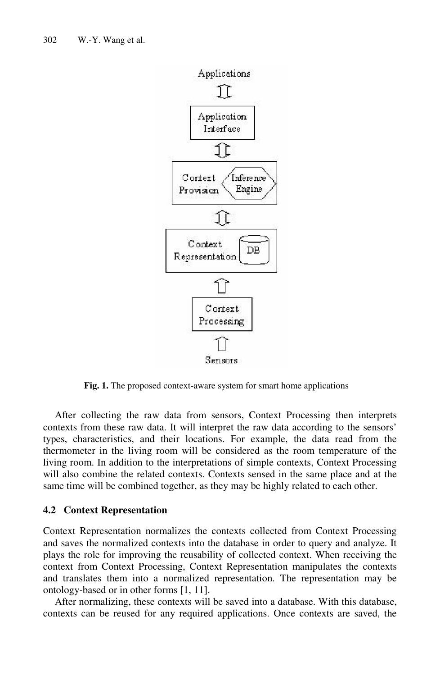

**Fig. 1.** The proposed context-aware system for smart home applications

After collecting the raw data from sensors, Context Processing then interprets contexts from these raw data. It will interpret the raw data according to the sensors' types, characteristics, and their locations. For example, the data read from the thermometer in the living room will be considered as the room temperature of the living room. In addition to the interpretations of simple contexts, Context Processing will also combine the related contexts. Contexts sensed in the same place and at the same time will be combined together, as they may be highly related to each other.

#### **4.2 Context Representation**

Context Representation normalizes the contexts collected from Context Processing and saves the normalized contexts into the database in order to query and analyze. It plays the role for improving the reusability of collected context. When receiving the context from Context Processing, Context Representation manipulates the contexts and translates them into a normalized representation. The representation may be ontology-based or in other forms [1, 11].

After normalizing, these contexts will be saved into a database. With this database, contexts can be reused for any required applications. Once contexts are saved, the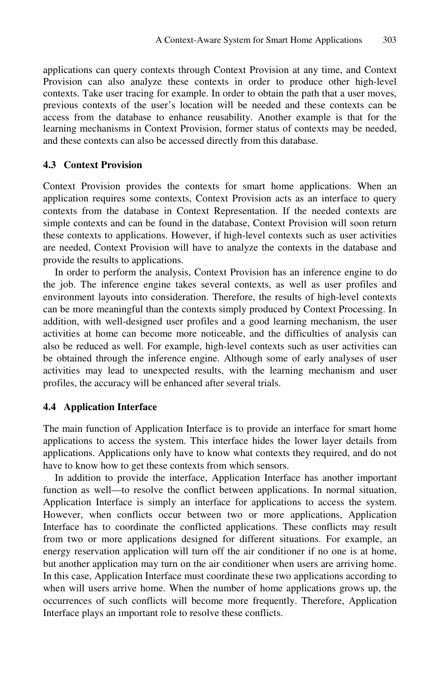applications can query contexts through Context Provision at any time, and Context Provision can also analyze these contexts in order to produce other high-level contexts. Take user tracing for example. In order to obtain the path that a user moves, previous contexts of the user's location will be needed and these contexts can be access from the database to enhance reusability. Another example is that for the learning mechanisms in Context Provision, former status of contexts may be needed, and these contexts can also be accessed directly from this database.

#### **4.3 Context Provision**

Context Provision provides the contexts for smart home applications. When an application requires some contexts, Context Provision acts as an interface to query contexts from the database in Context Representation. If the needed contexts are simple contexts and can be found in the database, Context Provision will soon return these contexts to applications. However, if high-level contexts such as user activities are needed, Context Provision will have to analyze the contexts in the database and provide the results to applications.

In order to perform the analysis, Context Provision has an inference engine to do the job. The inference engine takes several contexts, as well as user profiles and environment layouts into consideration. Therefore, the results of high-level contexts can be more meaningful than the contexts simply produced by Context Processing. In addition, with well-designed user profiles and a good learning mechanism, the user activities at home can become more noticeable, and the difficulties of analysis can also be reduced as well. For example, high-level contexts such as user activities can be obtained through the inference engine. Although some of early analyses of user activities may lead to unexpected results, with the learning mechanism and user profiles, the accuracy will be enhanced after several trials.

#### **4.4 Application Interface**

The main function of Application Interface is to provide an interface for smart home applications to access the system. This interface hides the lower layer details from applications. Applications only have to know what contexts they required, and do not have to know how to get these contexts from which sensors.

In addition to provide the interface, Application Interface has another important function as well—to resolve the conflict between applications. In normal situation, Application Interface is simply an interface for applications to access the system. However, when conflicts occur between two or more applications, Application Interface has to coordinate the conflicted applications. These conflicts may result from two or more applications designed for different situations. For example, an energy reservation application will turn off the air conditioner if no one is at home, but another application may turn on the air conditioner when users are arriving home. In this case, Application Interface must coordinate these two applications according to when will users arrive home. When the number of home applications grows up, the occurrences of such conflicts will become more frequently. Therefore, Application Interface plays an important role to resolve these conflicts.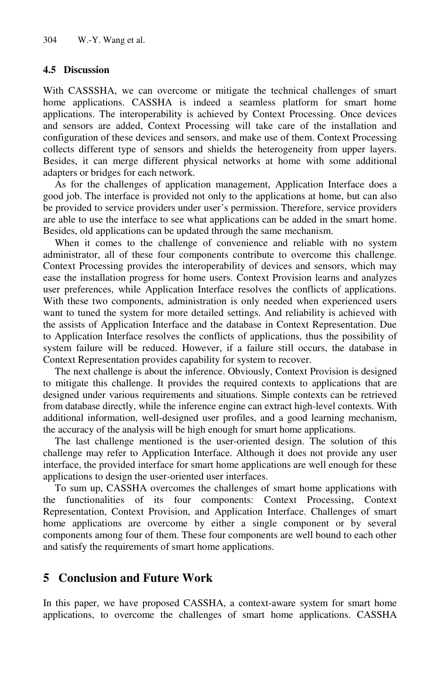#### **4.5 Discussion**

With CASSSHA, we can overcome or mitigate the technical challenges of smart home applications. CASSHA is indeed a seamless platform for smart home applications. The interoperability is achieved by Context Processing. Once devices and sensors are added, Context Processing will take care of the installation and configuration of these devices and sensors, and make use of them. Context Processing collects different type of sensors and shields the heterogeneity from upper layers. Besides, it can merge different physical networks at home with some additional adapters or bridges for each network.

As for the challenges of application management, Application Interface does a good job. The interface is provided not only to the applications at home, but can also be provided to service providers under user's permission. Therefore, service providers are able to use the interface to see what applications can be added in the smart home. Besides, old applications can be updated through the same mechanism.

When it comes to the challenge of convenience and reliable with no system administrator, all of these four components contribute to overcome this challenge. Context Processing provides the interoperability of devices and sensors, which may ease the installation progress for home users. Context Provision learns and analyzes user preferences, while Application Interface resolves the conflicts of applications. With these two components, administration is only needed when experienced users want to tuned the system for more detailed settings. And reliability is achieved with the assists of Application Interface and the database in Context Representation. Due to Application Interface resolves the conflicts of applications, thus the possibility of system failure will be reduced. However, if a failure still occurs, the database in Context Representation provides capability for system to recover.

The next challenge is about the inference. Obviously, Context Provision is designed to mitigate this challenge. It provides the required contexts to applications that are designed under various requirements and situations. Simple contexts can be retrieved from database directly, while the inference engine can extract high-level contexts. With additional information, well-designed user profiles, and a good learning mechanism, the accuracy of the analysis will be high enough for smart home applications.

The last challenge mentioned is the user-oriented design. The solution of this challenge may refer to Application Interface. Although it does not provide any user interface, the provided interface for smart home applications are well enough for these applications to design the user-oriented user interfaces.

To sum up, CASSHA overcomes the challenges of smart home applications with the functionalities of its four components: Context Processing, Context Representation, Context Provision, and Application Interface. Challenges of smart home applications are overcome by either a single component or by several components among four of them. These four components are well bound to each other and satisfy the requirements of smart home applications.

## **5 Conclusion and Future Work**

In this paper, we have proposed CASSHA, a context-aware system for smart home applications, to overcome the challenges of smart home applications. CASSHA